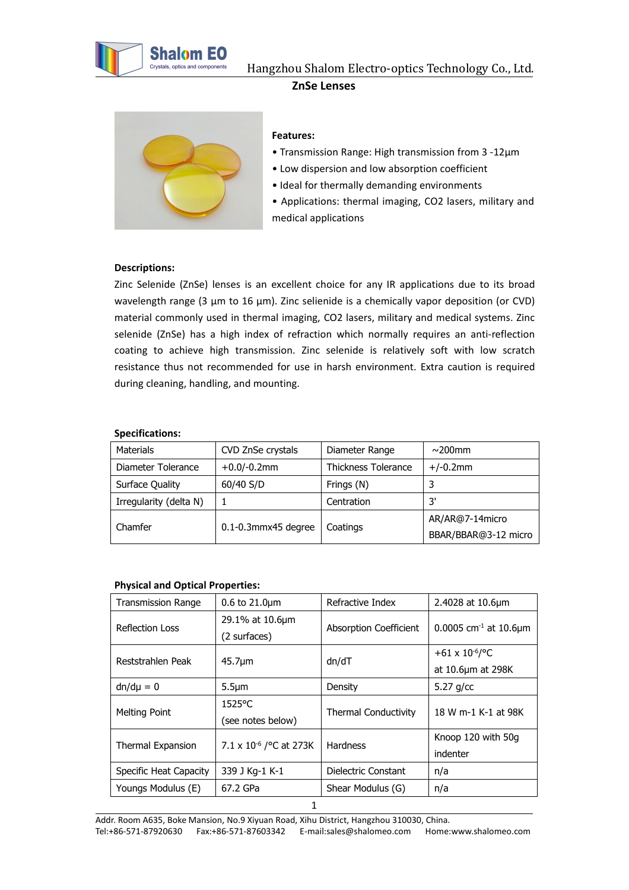



#### **Features:**

- Transmission Range: High transmission from 3 -12µm
- Low dispersion and low absorption coefficient
- Ideal for thermally demanding environments
- Applications: thermal imaging, CO2 lasers, military and medical applications

# **Descriptions:**

Zinc Selenide (ZnSe) lenses is an excellent choice for any IR applications due to its broad wavelength range (3  $\mu$ m to 16  $\mu$ m). Zinc selienide is a chemically vapor deposition (or CVD) material commonly used in thermal imaging, CO2 lasers, military and medical systems. Zinc selenide (ZnSe) has a high index of refraction which normally requires an anti-reflection coating to achieve high transmission. Zinc selenide is relatively soft with low scratch resistance thus not recommended for use in harsh environment. Extra caution is required during cleaning, handling, and mounting.

#### **Specifications:**

| <b>Materials</b>       | CVD ZnSe crystals        | Diameter Range             | $\sim$ 200mm         |
|------------------------|--------------------------|----------------------------|----------------------|
| Diameter Tolerance     | $+0.0/-0.2$ mm           | <b>Thickness Tolerance</b> | $+/-0.2$ mm          |
| Surface Quality        | 60/40 S/D                | Frings (N)                 |                      |
| Irregularity (delta N) |                          | Centration                 | 3'                   |
|                        | $0.1 - 0.3$ mmx45 degree |                            | AR/AR@7-14micro      |
| Chamfer                |                          | Coatings                   | BBAR/BBAR@3-12 micro |

## **Physical and Optical Properties:**

| <b>Transmission Range</b> | $0.6 \text{ to } 21.0 \mu m$ | Refractive Index            | 2.4028 at 10.6µm                 |
|---------------------------|------------------------------|-----------------------------|----------------------------------|
| <b>Reflection Loss</b>    | 29.1% at 10.6µm              | Absorption Coefficient      | 0.0005 $cm^{-1}$ at 10.6 $\mu$ m |
|                           | (2 surfaces)                 |                             |                                  |
| Reststrahlen Peak         | $45.7 \mu m$                 | dn/dT                       | +61 x $10^{-6}$ /°C              |
|                           |                              |                             | at 10.6µm at 298K                |
| $dn/d\mu = 0$             | $5.5 \mu m$                  | Density                     | 5.27 $g/cc$                      |
| Melting Point             | $1525^{\circ}$ C             |                             | 18 W m-1 K-1 at 98K              |
|                           | (see notes below)            | <b>Thermal Conductivity</b> |                                  |
| Thermal Expansion         | 7.1 x $10^{-6}$ / °C at 273K | <b>Hardness</b>             | Knoop 120 with 50g               |
|                           |                              |                             | indenter                         |
| Specific Heat Capacity    | 339 J Kg-1 K-1               | Dielectric Constant         | n/a                              |
| Youngs Modulus (E)        | 67.2 GPa                     | Shear Modulus (G)           | n/a                              |
|                           | 1                            |                             |                                  |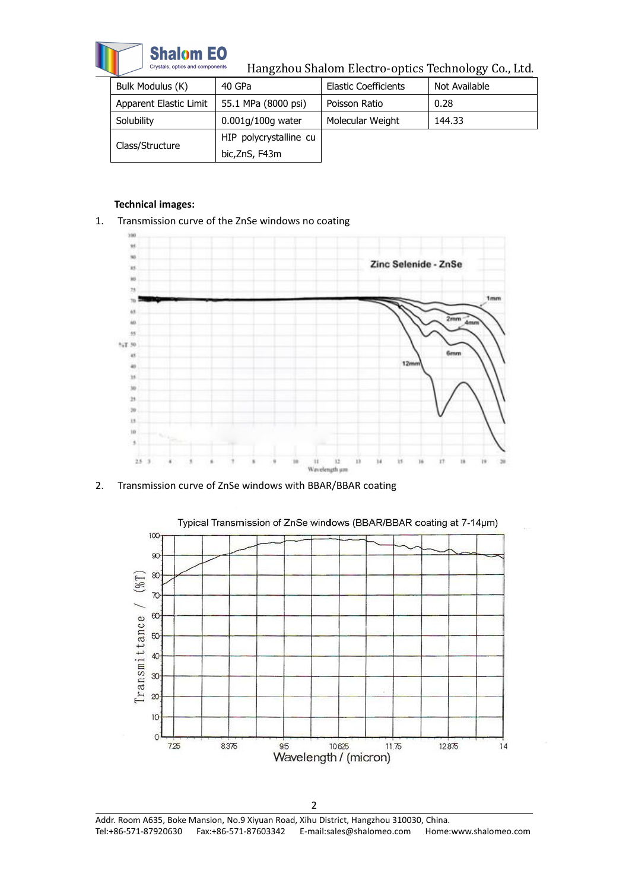

Hangzhou Shalom Electro-optics Technology Co., Ltd.

| Bulk Modulus (K)       | 40 GPa                 | <b>Elastic Coefficients</b> | Not Available |
|------------------------|------------------------|-----------------------------|---------------|
| Apparent Elastic Limit | 55.1 MPa (8000 psi)    | Poisson Ratio               | 0.28          |
| Solubility             | 0.001g/100g water      | Molecular Weight            | 144.33        |
|                        | HIP polycrystalline cu |                             |               |
| Class/Structure        | bic,ZnS, F43m          |                             |               |

### **Technical images:**

1. Transmission curve of the ZnSe windows no coating



2. Transmission curve of ZnSe windows with BBAR/BBAR coating



2 Addr. Room A635, Boke Mansion, No.9 Xiyuan Road, Xihu District, Hangzhou 310030, China. Tel:+86-571-87920630 Fax:+86-571-87603342 E-mail:sales@shalomeo.com Home:www.shalomeo.com